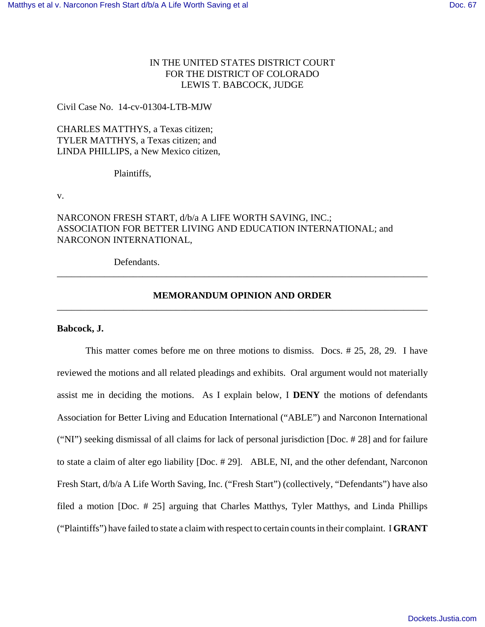# IN THE UNITED STATES DISTRICT COURT FOR THE DISTRICT OF COLORADO LEWIS T. BABCOCK, JUDGE

## Civil Case No. 14-cv-01304-LTB-MJW

CHARLES MATTHYS, a Texas citizen; TYLER MATTHYS, a Texas citizen; and LINDA PHILLIPS, a New Mexico citizen,

Plaintiffs,

v.

# NARCONON FRESH START, d/b/a A LIFE WORTH SAVING, INC.; ASSOCIATION FOR BETTER LIVING AND EDUCATION INTERNATIONAL; and NARCONON INTERNATIONAL,

Defendants.

# **MEMORANDUM OPINION AND ORDER** \_\_\_\_\_\_\_\_\_\_\_\_\_\_\_\_\_\_\_\_\_\_\_\_\_\_\_\_\_\_\_\_\_\_\_\_\_\_\_\_\_\_\_\_\_\_\_\_\_\_\_\_\_\_\_\_\_\_\_\_\_\_\_\_\_\_\_\_\_\_\_\_\_\_\_\_\_\_

\_\_\_\_\_\_\_\_\_\_\_\_\_\_\_\_\_\_\_\_\_\_\_\_\_\_\_\_\_\_\_\_\_\_\_\_\_\_\_\_\_\_\_\_\_\_\_\_\_\_\_\_\_\_\_\_\_\_\_\_\_\_\_\_\_\_\_\_\_\_\_\_\_\_\_\_\_\_

## **Babcock, J.**

This matter comes before me on three motions to dismiss. Docs. # 25, 28, 29. I have reviewed the motions and all related pleadings and exhibits. Oral argument would not materially assist me in deciding the motions. As I explain below, I **DENY** the motions of defendants Association for Better Living and Education International ("ABLE") and Narconon International ("NI") seeking dismissal of all claims for lack of personal jurisdiction [Doc. # 28] and for failure to state a claim of alter ego liability [Doc. # 29]. ABLE, NI, and the other defendant, Narconon Fresh Start, d/b/a A Life Worth Saving, Inc. ("Fresh Start") (collectively, "Defendants") have also filed a motion [Doc. # 25] arguing that Charles Matthys, Tyler Matthys, and Linda Phillips ("Plaintiffs") have failed to state a claim with respect to certain counts in their complaint. I **GRANT**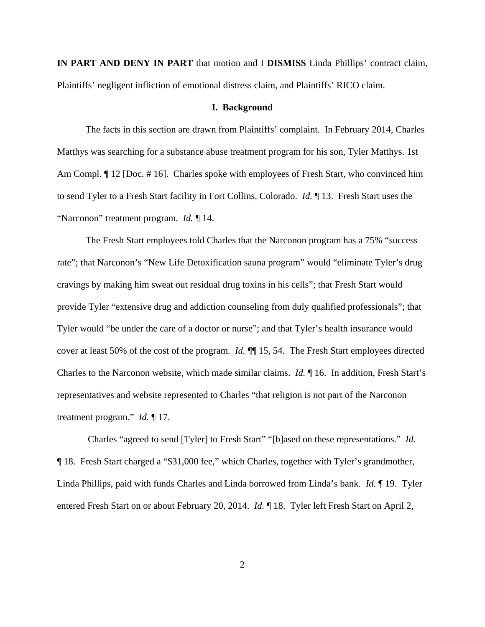**IN PART AND DENY IN PART** that motion and I **DISMISS** Linda Phillips' contract claim, Plaintiffs' negligent infliction of emotional distress claim, and Plaintiffs' RICO claim.

## **I. Background**

The facts in this section are drawn from Plaintiffs' complaint. In February 2014, Charles Matthys was searching for a substance abuse treatment program for his son, Tyler Matthys. 1st Am Compl.  $\P$  12 [Doc. #16]. Charles spoke with employees of Fresh Start, who convinced him to send Tyler to a Fresh Start facility in Fort Collins, Colorado. *Id.* ¶ 13. Fresh Start uses the "Narconon" treatment program. *Id.* ¶ 14.

The Fresh Start employees told Charles that the Narconon program has a 75% "success rate"; that Narconon's "New Life Detoxification sauna program" would "eliminate Tyler's drug cravings by making him sweat out residual drug toxins in his cells"; that Fresh Start would provide Tyler "extensive drug and addiction counseling from duly qualified professionals"; that Tyler would "be under the care of a doctor or nurse"; and that Tyler's health insurance would cover at least 50% of the cost of the program. *Id.* ¶¶ 15, 54. The Fresh Start employees directed Charles to the Narconon website, which made similar claims. *Id.* ¶ 16. In addition, Fresh Start's representatives and website represented to Charles "that religion is not part of the Narconon treatment program." *Id.* ¶ 17.

 Charles "agreed to send [Tyler] to Fresh Start" "[b]ased on these representations." *Id.* ¶ 18. Fresh Start charged a "\$31,000 fee," which Charles, together with Tyler's grandmother, Linda Phillips, paid with funds Charles and Linda borrowed from Linda's bank. *Id.* ¶ 19. Tyler entered Fresh Start on or about February 20, 2014. *Id.* 18. Tyler left Fresh Start on April 2,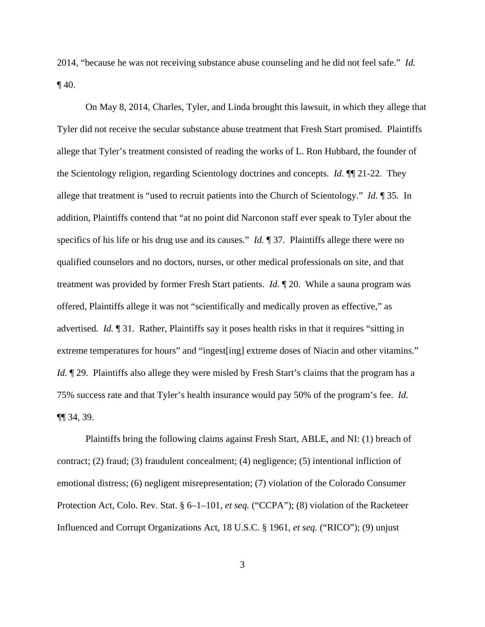2014, "because he was not receiving substance abuse counseling and he did not feel safe." *Id.*  $\P$  40.

On May 8, 2014, Charles, Tyler, and Linda brought this lawsuit, in which they allege that Tyler did not receive the secular substance abuse treatment that Fresh Start promised. Plaintiffs allege that Tyler's treatment consisted of reading the works of L. Ron Hubbard, the founder of the Scientology religion, regarding Scientology doctrines and concepts. *Id.* ¶¶ 21-22. They allege that treatment is "used to recruit patients into the Church of Scientology." *Id.* ¶ 35. In addition, Plaintiffs contend that "at no point did Narconon staff ever speak to Tyler about the specifics of his life or his drug use and its causes." *Id.* ¶ 37. Plaintiffs allege there were no qualified counselors and no doctors, nurses, or other medical professionals on site, and that treatment was provided by former Fresh Start patients. *Id.* ¶ 20. While a sauna program was offered, Plaintiffs allege it was not "scientifically and medically proven as effective," as advertised. *Id.* ¶ 31. Rather, Plaintiffs say it poses health risks in that it requires "sitting in extreme temperatures for hours" and "ingest[ing] extreme doses of Niacin and other vitamins." *Id.*  $\sqrt{29}$ . Plaintiffs also allege they were misled by Fresh Start's claims that the program has a 75% success rate and that Tyler's health insurance would pay 50% of the program's fee. *Id.* ¶¶ 34, 39.

Plaintiffs bring the following claims against Fresh Start, ABLE, and NI: (1) breach of contract; (2) fraud; (3) fraudulent concealment; (4) negligence; (5) intentional infliction of emotional distress; (6) negligent misrepresentation; (7) violation of the Colorado Consumer Protection Act, Colo. Rev. Stat. § 6–1–101, *et seq.* ("CCPA"); (8) violation of the Racketeer Influenced and Corrupt Organizations Act, 18 U.S.C. § 1961, *et seq.* ("RICO"); (9) unjust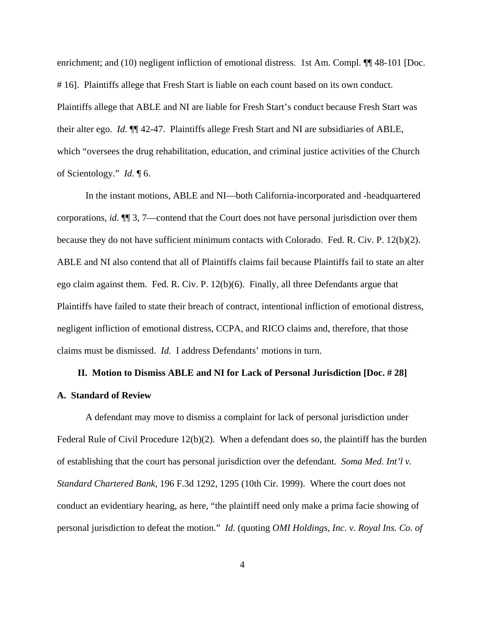enrichment; and (10) negligent infliction of emotional distress. 1st Am. Compl.  $\P\P$  48-101 [Doc. # 16]. Plaintiffs allege that Fresh Start is liable on each count based on its own conduct. Plaintiffs allege that ABLE and NI are liable for Fresh Start's conduct because Fresh Start was their alter ego. *Id.* ¶¶ 42-47. Plaintiffs allege Fresh Start and NI are subsidiaries of ABLE, which "oversees the drug rehabilitation, education, and criminal justice activities of the Church of Scientology." *Id.* ¶ 6.

In the instant motions, ABLE and NI—both California-incorporated and -headquartered corporations, *id.* ¶¶ 3, 7—contend that the Court does not have personal jurisdiction over them because they do not have sufficient minimum contacts with Colorado. Fed. R. Civ. P. 12(b)(2). ABLE and NI also contend that all of Plaintiffs claims fail because Plaintiffs fail to state an alter ego claim against them. Fed. R. Civ. P. 12(b)(6). Finally, all three Defendants argue that Plaintiffs have failed to state their breach of contract, intentional infliction of emotional distress, negligent infliction of emotional distress, CCPA, and RICO claims and, therefore, that those claims must be dismissed. *Id.* I address Defendants' motions in turn.

# **II. Motion to Dismiss ABLE and NI for Lack of Personal Jurisdiction [Doc. # 28] A. Standard of Review**

A defendant may move to dismiss a complaint for lack of personal jurisdiction under Federal Rule of Civil Procedure 12(b)(2). When a defendant does so, the plaintiff has the burden of establishing that the court has personal jurisdiction over the defendant. *Soma Med. Int'l v. Standard Chartered Bank*, 196 F.3d 1292, 1295 (10th Cir. 1999). Where the court does not conduct an evidentiary hearing, as here, "the plaintiff need only make a prima facie showing of personal jurisdiction to defeat the motion." *Id.* (quoting *OMI Holdings, Inc. v. Royal Ins. Co. of*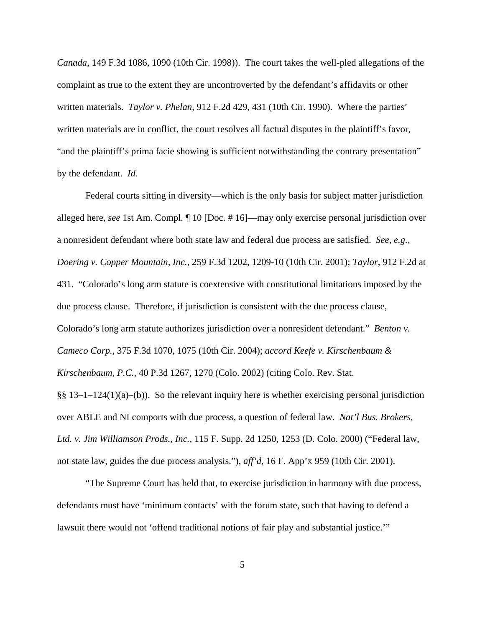*Canada*, 149 F.3d 1086, 1090 (10th Cir. 1998)). The court takes the well-pled allegations of the complaint as true to the extent they are uncontroverted by the defendant's affidavits or other written materials. *Taylor v. Phelan*, 912 F.2d 429, 431 (10th Cir. 1990). Where the parties' written materials are in conflict, the court resolves all factual disputes in the plaintiff's favor, "and the plaintiff's prima facie showing is sufficient notwithstanding the contrary presentation" by the defendant. *Id.*

Federal courts sitting in diversity—which is the only basis for subject matter jurisdiction alleged here, *see* 1st Am. Compl. ¶ 10 [Doc. # 16]—may only exercise personal jurisdiction over a nonresident defendant where both state law and federal due process are satisfied. *See, e.g., Doering v. Copper Mountain, Inc.*, 259 F.3d 1202, 1209-10 (10th Cir. 2001); *Taylor*, 912 F.2d at 431. "Colorado's long arm statute is coextensive with constitutional limitations imposed by the due process clause. Therefore, if jurisdiction is consistent with the due process clause, Colorado's long arm statute authorizes jurisdiction over a nonresident defendant." *Benton v. Cameco Corp.*, 375 F.3d 1070, 1075 (10th Cir. 2004); *accord Keefe v. Kirschenbaum & Kirschenbaum, P.C.*, 40 P.3d 1267, 1270 (Colo. 2002) (citing Colo. Rev. Stat.  $\S$ § 13–1–124(1)(a)–(b)). So the relevant inquiry here is whether exercising personal jurisdiction over ABLE and NI comports with due process, a question of federal law. *Nat'l Bus. Brokers, Ltd. v. Jim Williamson Prods., Inc.,* 115 F. Supp. 2d 1250, 1253 (D. Colo. 2000) ("Federal law, not state law, guides the due process analysis."), *aff'd,* 16 F. App'x 959 (10th Cir. 2001).

"The Supreme Court has held that, to exercise jurisdiction in harmony with due process, defendants must have 'minimum contacts' with the forum state, such that having to defend a lawsuit there would not 'offend traditional notions of fair play and substantial justice.'"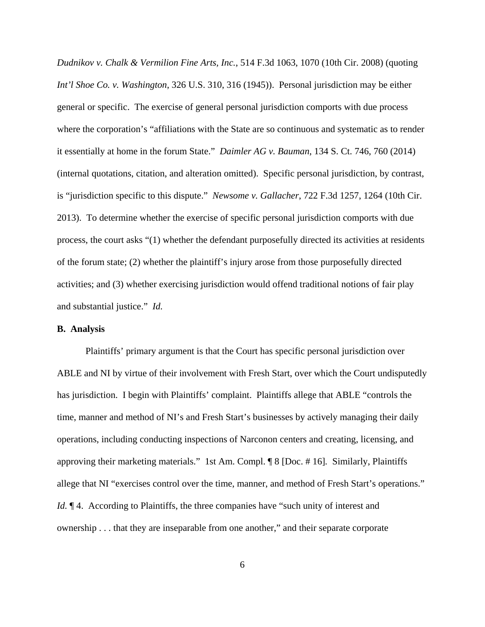*Dudnikov v. Chalk & Vermilion Fine Arts, Inc.*, 514 F.3d 1063, 1070 (10th Cir. 2008) (quoting *Int'l Shoe Co. v. Washington*, 326 U.S. 310, 316 (1945)). Personal jurisdiction may be either general or specific. The exercise of general personal jurisdiction comports with due process where the corporation's "affiliations with the State are so continuous and systematic as to render it essentially at home in the forum State." *Daimler AG v. Bauman*, 134 S. Ct. 746, 760 (2014) (internal quotations, citation, and alteration omitted). Specific personal jurisdiction, by contrast, is "jurisdiction specific to this dispute." *Newsome v. Gallacher*, 722 F.3d 1257, 1264 (10th Cir. 2013). To determine whether the exercise of specific personal jurisdiction comports with due process, the court asks "(1) whether the defendant purposefully directed its activities at residents of the forum state; (2) whether the plaintiff's injury arose from those purposefully directed activities; and (3) whether exercising jurisdiction would offend traditional notions of fair play and substantial justice." *Id.*

## **B. Analysis**

Plaintiffs' primary argument is that the Court has specific personal jurisdiction over ABLE and NI by virtue of their involvement with Fresh Start, over which the Court undisputedly has jurisdiction. I begin with Plaintiffs' complaint. Plaintiffs allege that ABLE "controls the time, manner and method of NI's and Fresh Start's businesses by actively managing their daily operations, including conducting inspections of Narconon centers and creating, licensing, and approving their marketing materials." 1st Am. Compl. ¶ 8 [Doc. # 16]*.* Similarly, Plaintiffs allege that NI "exercises control over the time, manner, and method of Fresh Start's operations." *Id.*  $\P$  4. According to Plaintiffs, the three companies have "such unity of interest and ownership . . . that they are inseparable from one another," and their separate corporate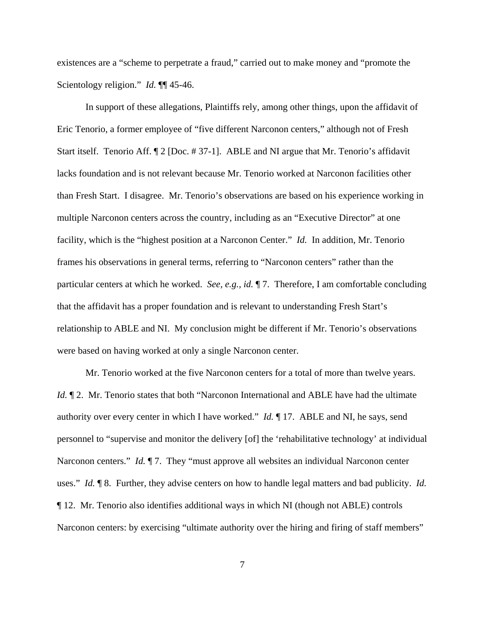existences are a "scheme to perpetrate a fraud," carried out to make money and "promote the Scientology religion." *Id.* **¶** 45-46.

In support of these allegations, Plaintiffs rely, among other things, upon the affidavit of Eric Tenorio, a former employee of "five different Narconon centers," although not of Fresh Start itself. Tenorio Aff. ¶ 2 [Doc. # 37-1]. ABLE and NI argue that Mr. Tenorio's affidavit lacks foundation and is not relevant because Mr. Tenorio worked at Narconon facilities other than Fresh Start. I disagree. Mr. Tenorio's observations are based on his experience working in multiple Narconon centers across the country, including as an "Executive Director" at one facility, which is the "highest position at a Narconon Center." *Id.* In addition, Mr. Tenorio frames his observations in general terms, referring to "Narconon centers" rather than the particular centers at which he worked. *See, e.g., id.* ¶ 7. Therefore, I am comfortable concluding that the affidavit has a proper foundation and is relevant to understanding Fresh Start's relationship to ABLE and NI. My conclusion might be different if Mr. Tenorio's observations were based on having worked at only a single Narconon center.

Mr. Tenorio worked at the five Narconon centers for a total of more than twelve years. *Id.*  $\P$  2. Mr. Tenorio states that both "Narconon International and ABLE have had the ultimate authority over every center in which I have worked." *Id.* ¶ 17. ABLE and NI, he says, send personnel to "supervise and monitor the delivery [of] the 'rehabilitative technology' at individual Narconon centers." *Id.* 17. They "must approve all websites an individual Narconon center uses." *Id.* ¶ 8. Further, they advise centers on how to handle legal matters and bad publicity. *Id.* ¶ 12. Mr. Tenorio also identifies additional ways in which NI (though not ABLE) controls Narconon centers: by exercising "ultimate authority over the hiring and firing of staff members"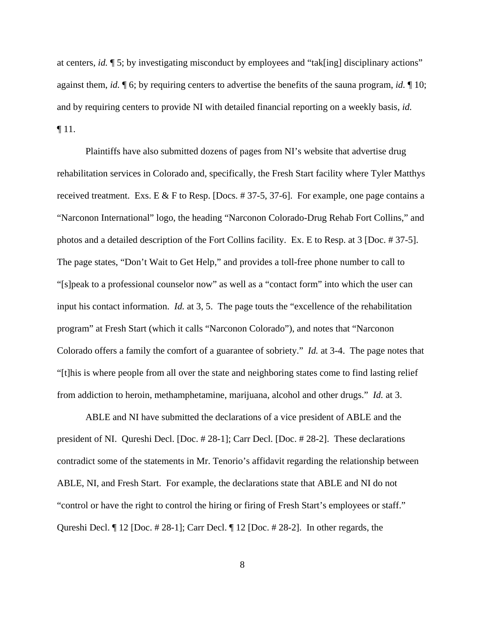at centers, *id.* ¶ 5; by investigating misconduct by employees and "tak[ing] disciplinary actions" against them, *id.* ¶ 6; by requiring centers to advertise the benefits of the sauna program, *id.* ¶ 10; and by requiring centers to provide NI with detailed financial reporting on a weekly basis, *id.* ¶ 11.

Plaintiffs have also submitted dozens of pages from NI's website that advertise drug rehabilitation services in Colorado and, specifically, the Fresh Start facility where Tyler Matthys received treatment. Exs. E & F to Resp. [Docs. # 37-5, 37-6]. For example, one page contains a "Narconon International" logo, the heading "Narconon Colorado-Drug Rehab Fort Collins," and photos and a detailed description of the Fort Collins facility. Ex. E to Resp. at 3 [Doc. # 37-5]. The page states, "Don't Wait to Get Help," and provides a toll-free phone number to call to "[s]peak to a professional counselor now" as well as a "contact form" into which the user can input his contact information. *Id.* at 3, 5. The page touts the "excellence of the rehabilitation program" at Fresh Start (which it calls "Narconon Colorado"), and notes that "Narconon Colorado offers a family the comfort of a guarantee of sobriety." *Id.* at 3-4. The page notes that "[t]his is where people from all over the state and neighboring states come to find lasting relief from addiction to heroin, methamphetamine, marijuana, alcohol and other drugs." *Id.* at 3.

ABLE and NI have submitted the declarations of a vice president of ABLE and the president of NI. Qureshi Decl. [Doc. # 28-1]; Carr Decl. [Doc. # 28-2]. These declarations contradict some of the statements in Mr. Tenorio's affidavit regarding the relationship between ABLE, NI, and Fresh Start. For example, the declarations state that ABLE and NI do not "control or have the right to control the hiring or firing of Fresh Start's employees or staff." Qureshi Decl. ¶ 12 [Doc. # 28-1]; Carr Decl. ¶ 12 [Doc. # 28-2]. In other regards, the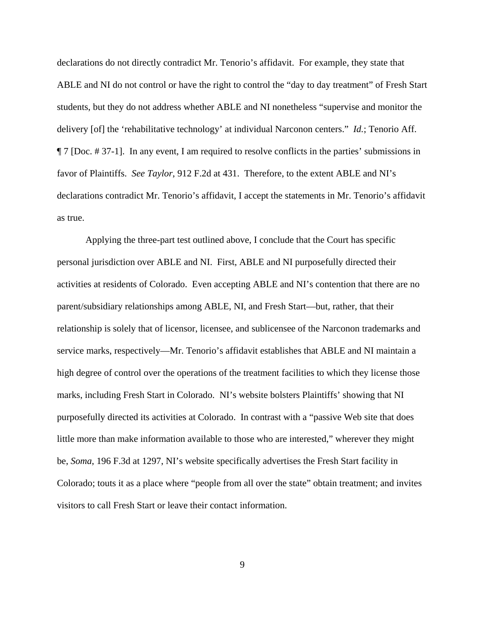declarations do not directly contradict Mr. Tenorio's affidavit. For example, they state that ABLE and NI do not control or have the right to control the "day to day treatment" of Fresh Start students, but they do not address whether ABLE and NI nonetheless "supervise and monitor the delivery [of] the 'rehabilitative technology' at individual Narconon centers." *Id.*; Tenorio Aff. ¶ 7 [Doc. # 37-1]. In any event, I am required to resolve conflicts in the parties' submissions in favor of Plaintiffs. *See Taylor*, 912 F.2d at 431. Therefore, to the extent ABLE and NI's declarations contradict Mr. Tenorio's affidavit, I accept the statements in Mr. Tenorio's affidavit as true.

Applying the three-part test outlined above, I conclude that the Court has specific personal jurisdiction over ABLE and NI. First, ABLE and NI purposefully directed their activities at residents of Colorado. Even accepting ABLE and NI's contention that there are no parent/subsidiary relationships among ABLE, NI, and Fresh Start—but, rather, that their relationship is solely that of licensor, licensee, and sublicensee of the Narconon trademarks and service marks, respectively—Mr. Tenorio's affidavit establishes that ABLE and NI maintain a high degree of control over the operations of the treatment facilities to which they license those marks, including Fresh Start in Colorado. NI's website bolsters Plaintiffs' showing that NI purposefully directed its activities at Colorado. In contrast with a "passive Web site that does little more than make information available to those who are interested," wherever they might be, *Soma*, 196 F.3d at 1297, NI's website specifically advertises the Fresh Start facility in Colorado; touts it as a place where "people from all over the state" obtain treatment; and invites visitors to call Fresh Start or leave their contact information.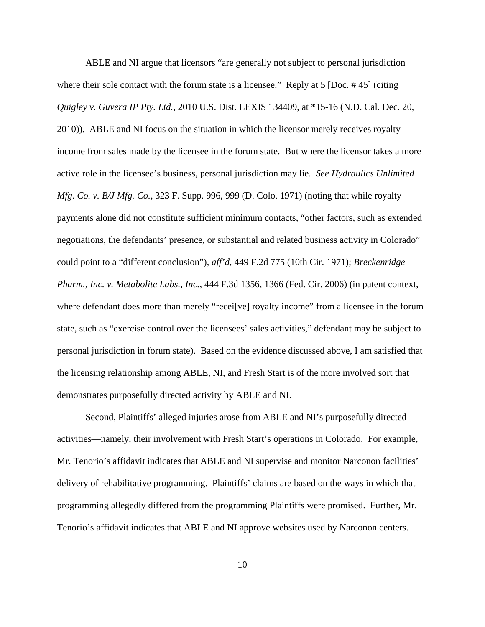ABLE and NI argue that licensors "are generally not subject to personal jurisdiction where their sole contact with the forum state is a licensee." Reply at 5 [Doc. #45] (citing *Quigley v. Guvera IP Pty. Ltd.,* 2010 U.S. Dist. LEXIS 134409, at \*15-16 (N.D. Cal. Dec. 20, 2010)). ABLE and NI focus on the situation in which the licensor merely receives royalty income from sales made by the licensee in the forum state. But where the licensor takes a more active role in the licensee's business, personal jurisdiction may lie. *See Hydraulics Unlimited Mfg. Co. v. B/J Mfg. Co.,* 323 F. Supp. 996, 999 (D. Colo. 1971) (noting that while royalty payments alone did not constitute sufficient minimum contacts, "other factors, such as extended negotiations, the defendants' presence, or substantial and related business activity in Colorado" could point to a "different conclusion"), *aff'd,* 449 F.2d 775 (10th Cir. 1971); *Breckenridge Pharm., Inc. v. Metabolite Labs., Inc.*, 444 F.3d 1356, 1366 (Fed. Cir. 2006) (in patent context, where defendant does more than merely "recei<sup>[ve]</sup> royalty income" from a licensee in the forum state, such as "exercise control over the licensees' sales activities," defendant may be subject to personal jurisdiction in forum state). Based on the evidence discussed above, I am satisfied that the licensing relationship among ABLE, NI, and Fresh Start is of the more involved sort that demonstrates purposefully directed activity by ABLE and NI.

Second, Plaintiffs' alleged injuries arose from ABLE and NI's purposefully directed activities—namely, their involvement with Fresh Start's operations in Colorado. For example, Mr. Tenorio's affidavit indicates that ABLE and NI supervise and monitor Narconon facilities' delivery of rehabilitative programming. Plaintiffs' claims are based on the ways in which that programming allegedly differed from the programming Plaintiffs were promised. Further, Mr. Tenorio's affidavit indicates that ABLE and NI approve websites used by Narconon centers.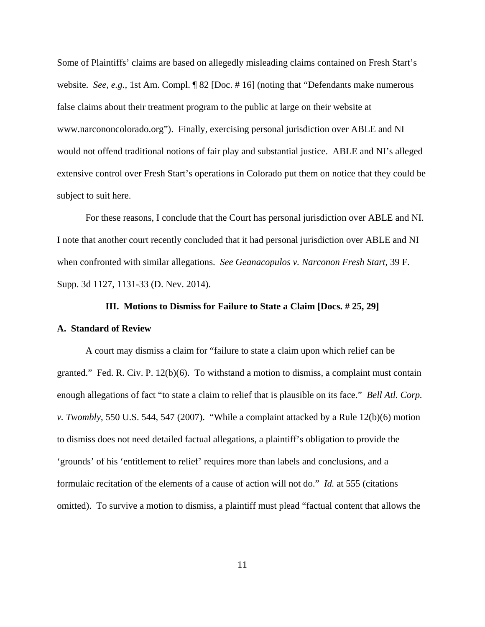Some of Plaintiffs' claims are based on allegedly misleading claims contained on Fresh Start's website. *See, e.g.,* 1st Am. Compl. ¶ 82 [Doc. # 16] (noting that "Defendants make numerous false claims about their treatment program to the public at large on their website at www.narcononcolorado.org"). Finally, exercising personal jurisdiction over ABLE and NI would not offend traditional notions of fair play and substantial justice. ABLE and NI's alleged extensive control over Fresh Start's operations in Colorado put them on notice that they could be subject to suit here.

For these reasons, I conclude that the Court has personal jurisdiction over ABLE and NI. I note that another court recently concluded that it had personal jurisdiction over ABLE and NI when confronted with similar allegations. *See Geanacopulos v. Narconon Fresh Start*, 39 F. Supp. 3d 1127, 1131-33 (D. Nev. 2014).

#### **III. Motions to Dismiss for Failure to State a Claim [Docs. # 25, 29]**

#### **A. Standard of Review**

A court may dismiss a claim for "failure to state a claim upon which relief can be granted." Fed. R. Civ. P. 12(b)(6). To withstand a motion to dismiss, a complaint must contain enough allegations of fact "to state a claim to relief that is plausible on its face." *Bell Atl. Corp. v. Twombly*, 550 U.S. 544, 547 (2007). "While a complaint attacked by a Rule 12(b)(6) motion to dismiss does not need detailed factual allegations, a plaintiff's obligation to provide the 'grounds' of his 'entitlement to relief' requires more than labels and conclusions, and a formulaic recitation of the elements of a cause of action will not do." *Id.* at 555 (citations omitted). To survive a motion to dismiss, a plaintiff must plead "factual content that allows the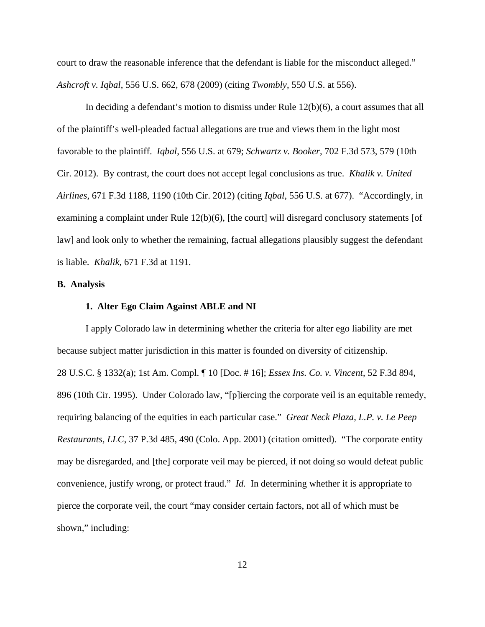court to draw the reasonable inference that the defendant is liable for the misconduct alleged." *Ashcroft v. Iqbal*, 556 U.S. 662, 678 (2009) (citing *Twombly*, 550 U.S. at 556).

In deciding a defendant's motion to dismiss under Rule 12(b)(6), a court assumes that all of the plaintiff's well-pleaded factual allegations are true and views them in the light most favorable to the plaintiff. *Iqbal*, 556 U.S. at 679; *Schwartz v. Booker*, 702 F.3d 573, 579 (10th Cir. 2012). By contrast, the court does not accept legal conclusions as true. *Khalik v. United Airlines*, 671 F.3d 1188, 1190 (10th Cir. 2012) (citing *Iqbal*, 556 U.S. at 677). "Accordingly, in examining a complaint under Rule 12(b)(6), [the court] will disregard conclusory statements [of law] and look only to whether the remaining, factual allegations plausibly suggest the defendant is liable. *Khalik*, 671 F.3d at 1191.

## **B. Analysis**

#### **1. Alter Ego Claim Against ABLE and NI**

I apply Colorado law in determining whether the criteria for alter ego liability are met because subject matter jurisdiction in this matter is founded on diversity of citizenship. 28 U.S.C. § 1332(a); 1st Am. Compl. ¶ 10 [Doc. # 16]; *Essex Ins. Co. v. Vincent*, 52 F.3d 894, 896 (10th Cir. 1995). Under Colorado law, "[p]iercing the corporate veil is an equitable remedy, requiring balancing of the equities in each particular case." *Great Neck Plaza, L.P. v. Le Peep Restaurants, LLC*, 37 P.3d 485, 490 (Colo. App. 2001) (citation omitted). "The corporate entity may be disregarded, and [the] corporate veil may be pierced, if not doing so would defeat public convenience, justify wrong, or protect fraud." *Id.* In determining whether it is appropriate to pierce the corporate veil, the court "may consider certain factors, not all of which must be shown," including: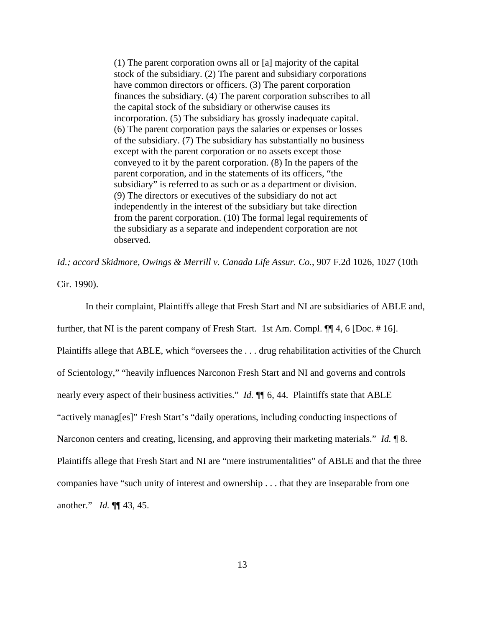(1) The parent corporation owns all or [a] majority of the capital stock of the subsidiary. (2) The parent and subsidiary corporations have common directors or officers. (3) The parent corporation finances the subsidiary. (4) The parent corporation subscribes to all the capital stock of the subsidiary or otherwise causes its incorporation. (5) The subsidiary has grossly inadequate capital. (6) The parent corporation pays the salaries or expenses or losses of the subsidiary. (7) The subsidiary has substantially no business except with the parent corporation or no assets except those conveyed to it by the parent corporation. (8) In the papers of the parent corporation, and in the statements of its officers, "the subsidiary" is referred to as such or as a department or division. (9) The directors or executives of the subsidiary do not act independently in the interest of the subsidiary but take direction from the parent corporation. (10) The formal legal requirements of the subsidiary as a separate and independent corporation are not observed.

*Id.; accord Skidmore, Owings & Merrill v. Canada Life Assur. Co.*, 907 F.2d 1026, 1027 (10th Cir. 1990).

In their complaint, Plaintiffs allege that Fresh Start and NI are subsidiaries of ABLE and, further, that NI is the parent company of Fresh Start. 1st Am. Compl. ¶¶ 4, 6 [Doc. # 16]. Plaintiffs allege that ABLE, which "oversees the . . . drug rehabilitation activities of the Church of Scientology," "heavily influences Narconon Fresh Start and NI and governs and controls nearly every aspect of their business activities." *Id.*  $\P$  6, 44. Plaintiffs state that ABLE "actively manag[es]" Fresh Start's "daily operations, including conducting inspections of Narconon centers and creating, licensing, and approving their marketing materials." *Id.* 18. Plaintiffs allege that Fresh Start and NI are "mere instrumentalities" of ABLE and that the three companies have "such unity of interest and ownership . . . that they are inseparable from one another." *Id.* ¶¶ 43, 45.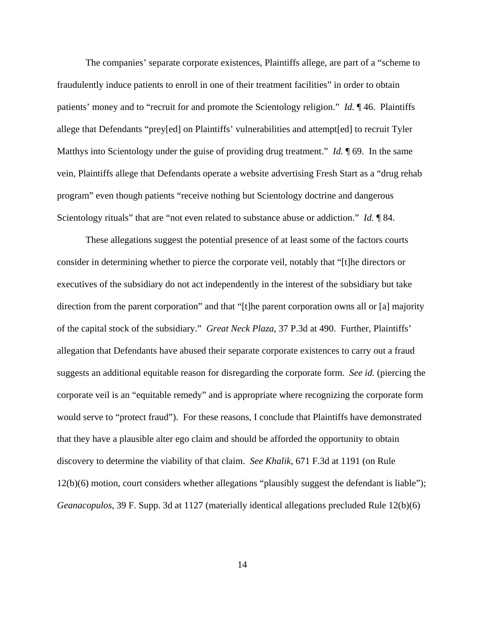The companies' separate corporate existences, Plaintiffs allege, are part of a "scheme to fraudulently induce patients to enroll in one of their treatment facilities" in order to obtain patients' money and to "recruit for and promote the Scientology religion." *Id.* ¶ 46. Plaintiffs allege that Defendants "prey[ed] on Plaintiffs' vulnerabilities and attempt[ed] to recruit Tyler Matthys into Scientology under the guise of providing drug treatment." *Id.* 169. In the same vein, Plaintiffs allege that Defendants operate a website advertising Fresh Start as a "drug rehab program" even though patients "receive nothing but Scientology doctrine and dangerous Scientology rituals" that are "not even related to substance abuse or addiction." *Id.* ¶ 84.

These allegations suggest the potential presence of at least some of the factors courts consider in determining whether to pierce the corporate veil, notably that "[t]he directors or executives of the subsidiary do not act independently in the interest of the subsidiary but take direction from the parent corporation" and that "[t]he parent corporation owns all or [a] majority of the capital stock of the subsidiary." *Great Neck Plaza*, 37 P.3d at 490. Further, Plaintiffs' allegation that Defendants have abused their separate corporate existences to carry out a fraud suggests an additional equitable reason for disregarding the corporate form. *See id.* (piercing the corporate veil is an "equitable remedy" and is appropriate where recognizing the corporate form would serve to "protect fraud"). For these reasons, I conclude that Plaintiffs have demonstrated that they have a plausible alter ego claim and should be afforded the opportunity to obtain discovery to determine the viability of that claim. *See Khalik*, 671 F.3d at 1191 (on Rule 12(b)(6) motion, court considers whether allegations "plausibly suggest the defendant is liable"); *Geanacopulos*, 39 F. Supp. 3d at 1127 (materially identical allegations precluded Rule 12(b)(6)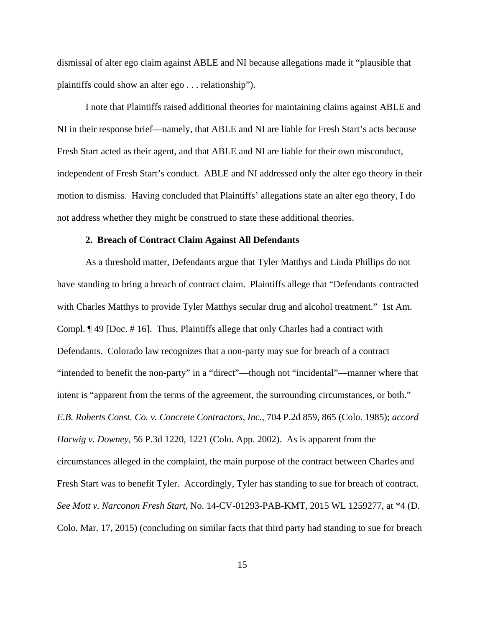dismissal of alter ego claim against ABLE and NI because allegations made it "plausible that plaintiffs could show an alter ego . . . relationship").

I note that Plaintiffs raised additional theories for maintaining claims against ABLE and NI in their response brief—namely, that ABLE and NI are liable for Fresh Start's acts because Fresh Start acted as their agent, and that ABLE and NI are liable for their own misconduct, independent of Fresh Start's conduct. ABLE and NI addressed only the alter ego theory in their motion to dismiss. Having concluded that Plaintiffs' allegations state an alter ego theory, I do not address whether they might be construed to state these additional theories.

#### **2. Breach of Contract Claim Against All Defendants**

As a threshold matter, Defendants argue that Tyler Matthys and Linda Phillips do not have standing to bring a breach of contract claim.Plaintiffs allege that "Defendants contracted with Charles Matthys to provide Tyler Matthys secular drug and alcohol treatment." 1st Am. Compl. ¶ 49 [Doc. # 16]. Thus, Plaintiffs allege that only Charles had a contract with Defendants. Colorado law recognizes that a non-party may sue for breach of a contract "intended to benefit the non-party" in a "direct"—though not "incidental"—manner where that intent is "apparent from the terms of the agreement, the surrounding circumstances, or both." *E.B. Roberts Const. Co. v. Concrete Contractors, Inc.*, 704 P.2d 859, 865 (Colo. 1985); *accord Harwig v. Downey,* 56 P.3d 1220, 1221 (Colo. App. 2002). As is apparent from the circumstances alleged in the complaint, the main purpose of the contract between Charles and Fresh Start was to benefit Tyler. Accordingly, Tyler has standing to sue for breach of contract. *See Mott v. Narconon Fresh Start*, No. 14-CV-01293-PAB-KMT, 2015 WL 1259277, at \*4 (D. Colo. Mar. 17, 2015) (concluding on similar facts that third party had standing to sue for breach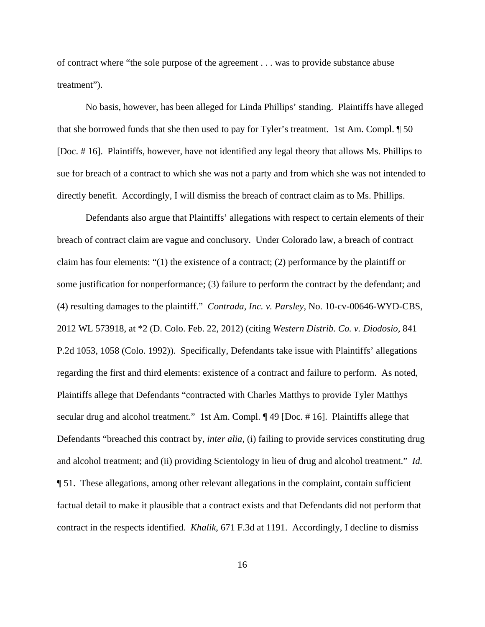of contract where "the sole purpose of the agreement . . . was to provide substance abuse treatment").

No basis, however, has been alleged for Linda Phillips' standing. Plaintiffs have alleged that she borrowed funds that she then used to pay for Tyler's treatment. 1st Am. Compl. ¶ 50 [Doc. # 16]. Plaintiffs, however, have not identified any legal theory that allows Ms. Phillips to sue for breach of a contract to which she was not a party and from which she was not intended to directly benefit. Accordingly, I will dismiss the breach of contract claim as to Ms. Phillips.

Defendants also argue that Plaintiffs' allegations with respect to certain elements of their breach of contract claim are vague and conclusory. Under Colorado law, a breach of contract claim has four elements: "(1) the existence of a contract; (2) performance by the plaintiff or some justification for nonperformance; (3) failure to perform the contract by the defendant; and (4) resulting damages to the plaintiff." *Contrada, Inc. v. Parsley*, No. 10-cv-00646-WYD-CBS, 2012 WL 573918, at \*2 (D. Colo. Feb. 22, 2012) (citing *Western Distrib. Co. v. Diodosio,* 841 P.2d 1053, 1058 (Colo. 1992)). Specifically, Defendants take issue with Plaintiffs' allegations regarding the first and third elements: existence of a contract and failure to perform. As noted, Plaintiffs allege that Defendants "contracted with Charles Matthys to provide Tyler Matthys secular drug and alcohol treatment." 1st Am. Compl. ¶ 49 [Doc. #16]. Plaintiffs allege that Defendants "breached this contract by, *inter alia*, (i) failing to provide services constituting drug and alcohol treatment; and (ii) providing Scientology in lieu of drug and alcohol treatment." *Id.* ¶ 51. These allegations, among other relevant allegations in the complaint, contain sufficient factual detail to make it plausible that a contract exists and that Defendants did not perform that contract in the respects identified. *Khalik*, 671 F.3d at 1191. Accordingly, I decline to dismiss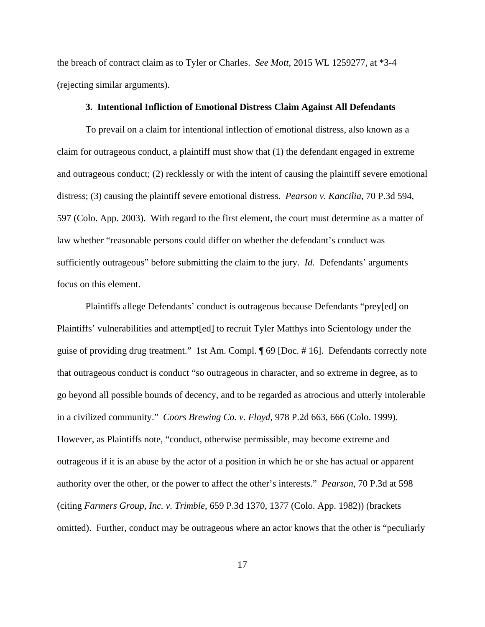the breach of contract claim as to Tyler or Charles. *See Mott*, 2015 WL 1259277, at \*3-4 (rejecting similar arguments).

#### **3. Intentional Infliction of Emotional Distress Claim Against All Defendants**

To prevail on a claim for intentional inflection of emotional distress, also known as a claim for outrageous conduct, a plaintiff must show that (1) the defendant engaged in extreme and outrageous conduct; (2) recklessly or with the intent of causing the plaintiff severe emotional distress; (3) causing the plaintiff severe emotional distress. *Pearson v. Kancilia*, 70 P.3d 594, 597 (Colo. App. 2003). With regard to the first element, the court must determine as a matter of law whether "reasonable persons could differ on whether the defendant's conduct was sufficiently outrageous" before submitting the claim to the jury. *Id.* Defendants' arguments focus on this element.

Plaintiffs allege Defendants' conduct is outrageous because Defendants "prey[ed] on Plaintiffs' vulnerabilities and attempt[ed] to recruit Tyler Matthys into Scientology under the guise of providing drug treatment." 1st Am. Compl. ¶ 69 [Doc. # 16]. Defendants correctly note that outrageous conduct is conduct "so outrageous in character, and so extreme in degree, as to go beyond all possible bounds of decency, and to be regarded as atrocious and utterly intolerable in a civilized community." *Coors Brewing Co. v. Floyd*, 978 P.2d 663, 666 (Colo. 1999). However, as Plaintiffs note, "conduct, otherwise permissible, may become extreme and outrageous if it is an abuse by the actor of a position in which he or she has actual or apparent authority over the other, or the power to affect the other's interests." *Pearson*, 70 P.3d at 598 (citing *Farmers Group, Inc. v. Trimble*, 659 P.3d 1370, 1377 (Colo. App. 1982)) (brackets omitted). Further, conduct may be outrageous where an actor knows that the other is "peculiarly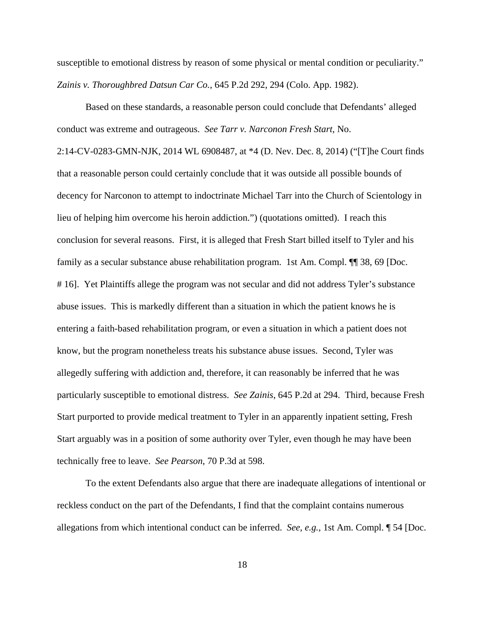susceptible to emotional distress by reason of some physical or mental condition or peculiarity." *Zainis v. Thoroughbred Datsun Car Co.*, 645 P.2d 292, 294 (Colo. App. 1982).

Based on these standards, a reasonable person could conclude that Defendants' alleged conduct was extreme and outrageous. *See Tarr v. Narconon Fresh Start*, No. 2:14-CV-0283-GMN-NJK, 2014 WL 6908487, at \*4 (D. Nev. Dec. 8, 2014) ("[T]he Court finds that a reasonable person could certainly conclude that it was outside all possible bounds of decency for Narconon to attempt to indoctrinate Michael Tarr into the Church of Scientology in lieu of helping him overcome his heroin addiction.") (quotations omitted). I reach this conclusion for several reasons. First, it is alleged that Fresh Start billed itself to Tyler and his family as a secular substance abuse rehabilitation program. 1st Am. Compl.  $\P$  38, 69 [Doc. # 16]. Yet Plaintiffs allege the program was not secular and did not address Tyler's substance abuse issues. This is markedly different than a situation in which the patient knows he is entering a faith-based rehabilitation program, or even a situation in which a patient does not know, but the program nonetheless treats his substance abuse issues. Second, Tyler was allegedly suffering with addiction and, therefore, it can reasonably be inferred that he was particularly susceptible to emotional distress. *See Zainis*, 645 P.2d at 294. Third, because Fresh Start purported to provide medical treatment to Tyler in an apparently inpatient setting, Fresh Start arguably was in a position of some authority over Tyler, even though he may have been technically free to leave. *See Pearson*, 70 P.3d at 598.

To the extent Defendants also argue that there are inadequate allegations of intentional or reckless conduct on the part of the Defendants, I find that the complaint contains numerous allegations from which intentional conduct can be inferred. *See, e.g.,* 1st Am. Compl. ¶ 54 [Doc.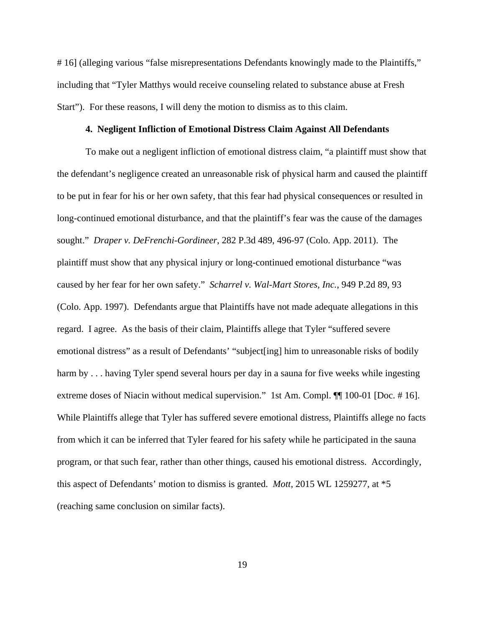# 16] (alleging various "false misrepresentations Defendants knowingly made to the Plaintiffs," including that "Tyler Matthys would receive counseling related to substance abuse at Fresh Start"). For these reasons, I will deny the motion to dismiss as to this claim.

#### **4. Negligent Infliction of Emotional Distress Claim Against All Defendants**

To make out a negligent infliction of emotional distress claim, "a plaintiff must show that the defendant's negligence created an unreasonable risk of physical harm and caused the plaintiff to be put in fear for his or her own safety, that this fear had physical consequences or resulted in long-continued emotional disturbance, and that the plaintiff's fear was the cause of the damages sought."*Draper v. DeFrenchi-Gordineer*, 282 P.3d 489, 496-97 (Colo. App. 2011). The plaintiff must show that any physical injury or long-continued emotional disturbance "was caused by her fear for her own safety." *Scharrel v. Wal-Mart Stores, Inc.*, 949 P.2d 89, 93 (Colo. App. 1997). Defendants argue that Plaintiffs have not made adequate allegations in this regard. I agree. As the basis of their claim, Plaintiffs allege that Tyler "suffered severe emotional distress" as a result of Defendants' "subject[ing] him to unreasonable risks of bodily harm by . . . having Tyler spend several hours per day in a sauna for five weeks while ingesting extreme doses of Niacin without medical supervision." 1st Am. Compl. ¶¶ 100-01 [Doc. # 16]. While Plaintiffs allege that Tyler has suffered severe emotional distress, Plaintiffs allege no facts from which it can be inferred that Tyler feared for his safety while he participated in the sauna program, or that such fear, rather than other things, caused his emotional distress. Accordingly, this aspect of Defendants' motion to dismiss is granted. *Mott*, 2015 WL 1259277, at \*5 (reaching same conclusion on similar facts).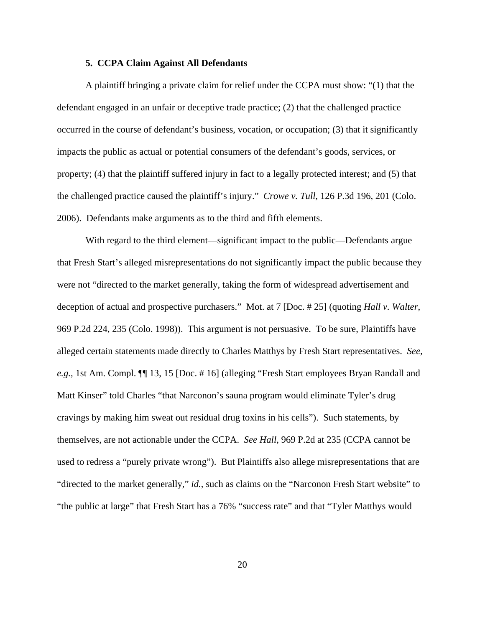#### **5. CCPA Claim Against All Defendants**

A plaintiff bringing a private claim for relief under the CCPA must show: "(1) that the defendant engaged in an unfair or deceptive trade practice; (2) that the challenged practice occurred in the course of defendant's business, vocation, or occupation; (3) that it significantly impacts the public as actual or potential consumers of the defendant's goods, services, or property; (4) that the plaintiff suffered injury in fact to a legally protected interest; and (5) that the challenged practice caused the plaintiff's injury."*Crowe v. Tull*, 126 P.3d 196, 201 (Colo. 2006). Defendants make arguments as to the third and fifth elements.

With regard to the third element—significant impact to the public—Defendants argue that Fresh Start's alleged misrepresentations do not significantly impact the public because they were not "directed to the market generally, taking the form of widespread advertisement and deception of actual and prospective purchasers." Mot. at 7 [Doc. # 25] (quoting *Hall v. Walter*, 969 P.2d 224, 235 (Colo. 1998)). This argument is not persuasive. To be sure, Plaintiffs have alleged certain statements made directly to Charles Matthys by Fresh Start representatives. *See, e.g.,* 1st Am. Compl. ¶¶ 13, 15 [Doc. # 16] (alleging "Fresh Start employees Bryan Randall and Matt Kinser" told Charles "that Narconon's sauna program would eliminate Tyler's drug cravings by making him sweat out residual drug toxins in his cells"). Such statements, by themselves, are not actionable under the CCPA. *See Hall*, 969 P.2d at 235 (CCPA cannot be used to redress a "purely private wrong"). But Plaintiffs also allege misrepresentations that are "directed to the market generally," *id.*, such as claims on the "Narconon Fresh Start website" to "the public at large" that Fresh Start has a 76% "success rate" and that "Tyler Matthys would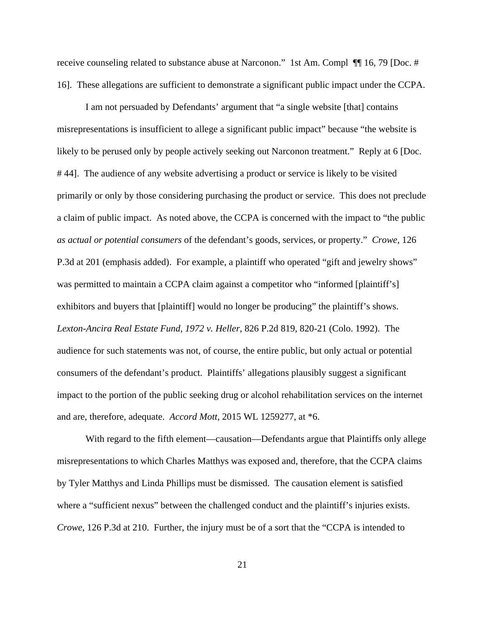receive counseling related to substance abuse at Narconon." 1st Am. Compl ¶¶ 16, 79 [Doc. # 16]. These allegations are sufficient to demonstrate a significant public impact under the CCPA.

I am not persuaded by Defendants' argument that "a single website [that] contains misrepresentations is insufficient to allege a significant public impact" because "the website is likely to be perused only by people actively seeking out Narconon treatment." Reply at 6 [Doc. # 44]. The audience of any website advertising a product or service is likely to be visited primarily or only by those considering purchasing the product or service. This does not preclude a claim of public impact. As noted above, the CCPA is concerned with the impact to "the public *as actual or potential consumers* of the defendant's goods, services, or property." *Crowe*, 126 P.3d at 201 (emphasis added). For example, a plaintiff who operated "gift and jewelry shows" was permitted to maintain a CCPA claim against a competitor who "informed [plaintiff's] exhibitors and buyers that [plaintiff] would no longer be producing" the plaintiff's shows. *Lexton-Ancira Real Estate Fund, 1972 v. Heller*, 826 P.2d 819, 820-21 (Colo. 1992). The audience for such statements was not, of course, the entire public, but only actual or potential consumers of the defendant's product. Plaintiffs' allegations plausibly suggest a significant impact to the portion of the public seeking drug or alcohol rehabilitation services on the internet and are, therefore, adequate. *Accord Mott*, 2015 WL 1259277, at \*6.

With regard to the fifth element—causation—Defendants argue that Plaintiffs only allege misrepresentations to which Charles Matthys was exposed and, therefore, that the CCPA claims by Tyler Matthys and Linda Phillips must be dismissed. The causation element is satisfied where a "sufficient nexus" between the challenged conduct and the plaintiff's injuries exists. *Crowe*, 126 P.3d at 210. Further, the injury must be of a sort that the "CCPA is intended to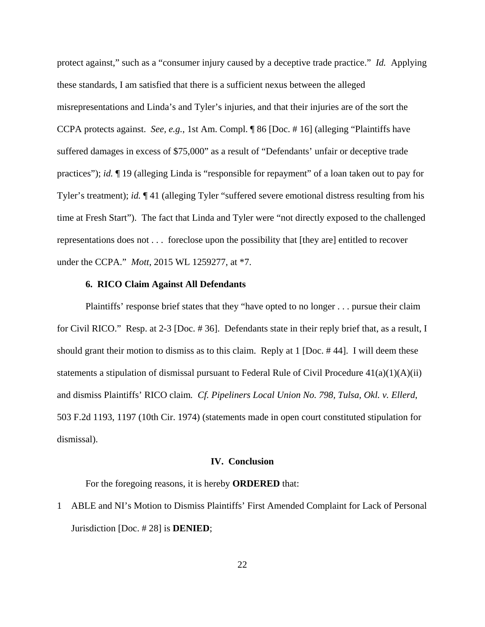protect against," such as a "consumer injury caused by a deceptive trade practice." *Id.* Applying these standards, I am satisfied that there is a sufficient nexus between the alleged misrepresentations and Linda's and Tyler's injuries, and that their injuries are of the sort the CCPA protects against. *See, e.g.*, 1st Am. Compl. ¶ 86 [Doc. # 16] (alleging "Plaintiffs have suffered damages in excess of \$75,000" as a result of "Defendants' unfair or deceptive trade practices"); *id.* ¶ 19 (alleging Linda is "responsible for repayment" of a loan taken out to pay for Tyler's treatment); *id.* ¶ 41 (alleging Tyler "suffered severe emotional distress resulting from his time at Fresh Start"). The fact that Linda and Tyler were "not directly exposed to the challenged representations does not . . . foreclose upon the possibility that [they are] entitled to recover under the CCPA." *Mott*, 2015 WL 1259277, at \*7.

## **6. RICO Claim Against All Defendants**

Plaintiffs' response brief states that they "have opted to no longer . . . pursue their claim for Civil RICO." Resp. at 2-3 [Doc. # 36]. Defendants state in their reply brief that, as a result, I should grant their motion to dismiss as to this claim. Reply at 1 [Doc. # 44]. I will deem these statements a stipulation of dismissal pursuant to Federal Rule of Civil Procedure  $41(a)(1)(A)(ii)$ and dismiss Plaintiffs' RICO claim*. Cf. Pipeliners Local Union No. 798, Tulsa, Okl. v. Ellerd*, 503 F.2d 1193, 1197 (10th Cir. 1974) (statements made in open court constituted stipulation for dismissal).

#### **IV. Conclusion**

For the foregoing reasons, it is hereby **ORDERED** that:

1 ABLE and NI's Motion to Dismiss Plaintiffs' First Amended Complaint for Lack of Personal Jurisdiction [Doc. # 28] is **DENIED**;